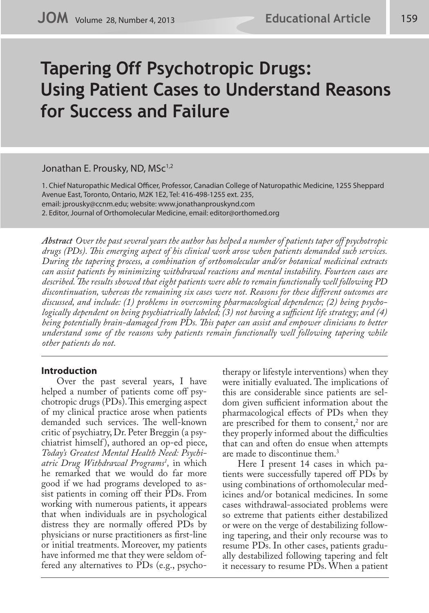# **Tapering Off Psychotropic Drugs: Using Patient Cases to Understand Reasons for Success and Failure**

### Jonathan E. Prousky, ND, MSc<sup>1,2</sup>

1. Chief Naturopathic Medical Officer, Professor, Canadian College of Naturopathic Medicine, 1255 Sheppard Avenue East, Toronto, Ontario, M2K 1E2, Tel: 416-498-1255 ext. 235, email: jprousky@ccnm.edu; website: www.jonathanprouskynd.com 2. Editor, Journal of Orthomolecular Medicine, email: editor@orthomed.org

*Abstract Over the past several years the author has helped a number of patients taper off psychotropic drugs (PDs). This emerging aspect of his clinical work arose when patients demanded such services. During the tapering process, a combination of orthomolecular and/or botanical medicinal extracts can assist patients by minimizing withdrawal reactions and mental instability. Fourteen cases are described. The results showed that eight patients were able to remain functionally well following PD discontinuation, whereas the remaining six cases were not. Reasons for these different outcomes are discussed, and include: (1) problems in overcoming pharmacological dependence; (2) being psychologically dependent on being psychiatrically labeled; (3) not having a sufficient life strategy; and (4) being potentially brain-damaged from PDs. This paper can assist and empower clinicians to better understand some of the reasons why patients remain functionally well following tapering while other patients do not.* 

### **Introduction**

Over the past several years, I have helped a number of patients come off psychotropic drugs (PDs). This emerging aspect of my clinical practice arose when patients demanded such services. The well-known critic of psychiatry, Dr. Peter Breggin (a psychiatrist himself ), authored an op-ed piece, *Today's Greatest Mental Health Need: Psychiatric Drug Withdrawal Programs1 ,* in which he remarked that we would do far more good if we had programs developed to assist patients in coming off their PDs. From working with numerous patients, it appears that when individuals are in psychological distress they are normally offered PDs by physicians or nurse practitioners as first-line or initial treatments. Moreover, my patients have informed me that they were seldom offered any alternatives to PDs (e.g., psychotherapy or lifestyle interventions) when they were initially evaluated. The implications of this are considerable since patients are seldom given sufficient information about the pharmacological effects of PDs when they are prescribed for them to consent, $^2$  nor are they properly informed about the difficulties that can and often do ensue when attempts are made to discontinue them.3

Here I present 14 cases in which patients were successfully tapered off PDs by using combinations of orthomolecular medicines and/or botanical medicines. In some cases withdrawal-associated problems were so extreme that patients either destabilized or were on the verge of destabilizing following tapering, and their only recourse was to resume PDs. In other cases, patients gradually destabilized following tapering and felt it necessary to resume PDs. When a patient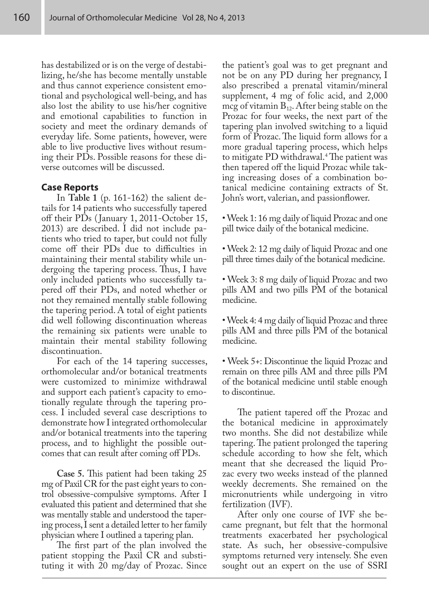has destabilized or is on the verge of destabilizing, he/she has become mentally unstable and thus cannot experience consistent emotional and psychological well-being, and has also lost the ability to use his/her cognitive and emotional capabilities to function in society and meet the ordinary demands of everyday life. Some patients, however, were able to live productive lives without resuming their PDs. Possible reasons for these diverse outcomes will be discussed.

#### **Case Reports**

In **Table 1** (p. 161-162) the salient details for 14 patients who successfully tapered off their PDs ( January 1, 2011-October 15, 2013) are described. I did not include patients who tried to taper, but could not fully come off their PDs due to difficulties in maintaining their mental stability while undergoing the tapering process. Thus, I have only included patients who successfully tapered off their PDs, and noted whether or not they remained mentally stable following the tapering period. A total of eight patients did well following discontinuation whereas the remaining six patients were unable to maintain their mental stability following discontinuation.

For each of the 14 tapering successes, orthomolecular and/or botanical treatments were customized to minimize withdrawal and support each patient's capacity to emotionally regulate through the tapering process. I included several case descriptions to demonstrate how I integrated orthomolecular and/or botanical treatments into the tapering process, and to highlight the possible outcomes that can result after coming off PDs.

**Case 5.** This patient had been taking 25 mg of Paxil CR for the past eight years to control obsessive-compulsive symptoms. After I evaluated this patient and determined that she was mentally stable and understood the tapering process, I sent a detailed letter to her family physician where I outlined a tapering plan.

The first part of the plan involved the patient stopping the Paxil CR and substituting it with 20 mg/day of Prozac. Since

the patient's goal was to get pregnant and not be on any PD during her pregnancy, I also prescribed a prenatal vitamin/mineral supplement, 4 mg of folic acid, and 2,000 mcg of vitamin  $B_{12}$ . After being stable on the Prozac for four weeks, the next part of the tapering plan involved switching to a liquid form of Prozac. The liquid form allows for a more gradual tapering process, which helps to mitigate PD withdrawal.4 The patient was then tapered off the liquid Prozac while taking increasing doses of a combination botanical medicine containing extracts of St. John's wort, valerian, and passionflower.

• Week 1: 16 mg daily of liquid Prozac and one pill twice daily of the botanical medicine.

• Week 2: 12 mg daily of liquid Prozac and one pill three times daily of the botanical medicine.

• Week 3: 8 mg daily of liquid Prozac and two pills AM and two pills PM of the botanical medicine.

• Week 4: 4 mg daily of liquid Prozac and three pills AM and three pills PM of the botanical medicine.

• Week 5+: Discontinue the liquid Prozac and remain on three pills AM and three pills PM of the botanical medicine until stable enough to discontinue.

The patient tapered off the Prozac and the botanical medicine in approximately two months. She did not destabilize while tapering. The patient prolonged the tapering schedule according to how she felt, which meant that she decreased the liquid Prozac every two weeks instead of the planned weekly decrements. She remained on the micronutrients while undergoing in vitro fertilization (IVF).

After only one course of IVF she became pregnant, but felt that the hormonal treatments exacerbated her psychological state. As such, her obsessive-compulsive symptoms returned very intensely. She even sought out an expert on the use of SSRI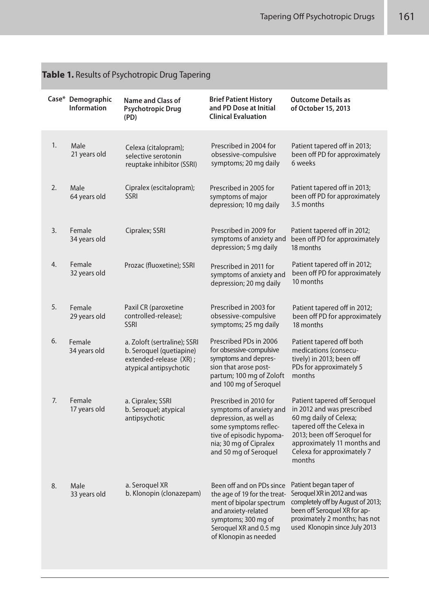| <b>Passe i.</b> Results of Fsycholopic Drug Tapering |                                         |                                                                                                              |                                                                                                                                                                                        |                                                                                                                                                                                                                         |  |  |
|------------------------------------------------------|-----------------------------------------|--------------------------------------------------------------------------------------------------------------|----------------------------------------------------------------------------------------------------------------------------------------------------------------------------------------|-------------------------------------------------------------------------------------------------------------------------------------------------------------------------------------------------------------------------|--|--|
|                                                      | Case* Demographic<br><b>Information</b> | <b>Name and Class of</b><br>Psychotropic Drug<br>(PD)                                                        | <b>Brief Patient History</b><br>and PD Dose at Initial<br><b>Clinical Evaluation</b>                                                                                                   | <b>Outcome Details as</b><br>of October 15, 2013                                                                                                                                                                        |  |  |
| 1.                                                   | Male<br>21 years old                    | Celexa (citalopram);<br>selective serotonin<br>reuptake inhibitor (SSRI)                                     | Prescribed in 2004 for<br>obsessive-compulsive<br>symptoms; 20 mg daily                                                                                                                | Patient tapered off in 2013;<br>been off PD for approximately<br>6 weeks                                                                                                                                                |  |  |
| 2.                                                   | Male<br>64 years old                    | Cipralex (escitalopram);<br><b>SSRI</b>                                                                      | Prescribed in 2005 for<br>symptoms of major<br>depression; 10 mg daily                                                                                                                 | Patient tapered off in 2013;<br>been off PD for approximately<br>3.5 months                                                                                                                                             |  |  |
| 3.                                                   | Female<br>34 years old                  | Cipralex; SSRI                                                                                               | Prescribed in 2009 for<br>symptoms of anxiety and<br>depression; 5 mg daily                                                                                                            | Patient tapered off in 2012;<br>been off PD for approximately<br>18 months                                                                                                                                              |  |  |
| 4.                                                   | Female<br>32 years old                  | Prozac (fluoxetine); SSRI                                                                                    | Prescribed in 2011 for<br>symptoms of anxiety and<br>depression; 20 mg daily                                                                                                           | Patient tapered off in 2012;<br>been off PD for approximately<br>10 months                                                                                                                                              |  |  |
| 5.                                                   | Female<br>29 years old                  | Paxil CR (paroxetine<br>controlled-release);<br><b>SSRI</b>                                                  | Prescribed in 2003 for<br>obsessive-compulsive<br>symptoms; 25 mg daily                                                                                                                | Patient tapered off in 2012;<br>been off PD for approximately<br>18 months                                                                                                                                              |  |  |
| 6.                                                   | Female<br>34 years old                  | a. Zoloft (sertraline); SSRI<br>b. Seroquel (quetiapine)<br>extended-release (XR);<br>atypical antipsychotic | Prescribed PDs in 2006<br>for obsessive-compulsive<br>symptoms and depres-<br>sion that arose post-<br>partum; 100 mg of Zoloft<br>and 100 mg of Seroquel                              | Patient tapered off both<br>medications (consecu-<br>tively) in 2013; been off<br>PDs for approximately 5<br>months                                                                                                     |  |  |
| 7.                                                   | Female<br>17 years old                  | a. Cipralex; SSRI<br>b. Seroquel; atypical<br>antipsychotic                                                  | Prescribed in 2010 for<br>symptoms of anxiety and<br>depression, as well as<br>some symptoms reflec-<br>tive of episodic hypoma-<br>nia; 30 mg of Cipralex<br>and 50 mg of Seroquel    | Patient tapered off Seroquel<br>in 2012 and was prescribed<br>60 mg daily of Celexa;<br>tapered off the Celexa in<br>2013; been off Seroquel for<br>approximately 11 months and<br>Celexa for approximately 7<br>months |  |  |
| 8.                                                   | Male<br>33 years old                    | a. Seroquel XR<br>b. Klonopin (clonazepam)                                                                   | Been off and on PDs since<br>the age of 19 for the treat-<br>ment of bipolar spectrum<br>and anxiety-related<br>symptoms; 300 mg of<br>Seroquel XR and 0.5 mg<br>of Klonopin as needed | Patient began taper of<br>Seroquel XR in 2012 and was<br>completely off by August of 2013;<br>been off Seroquel XR for ap-<br>proximately 2 months; has not<br>used Klonopin since July 2013                            |  |  |

# **Table 1.** Results of Psychotropic Drug Tapering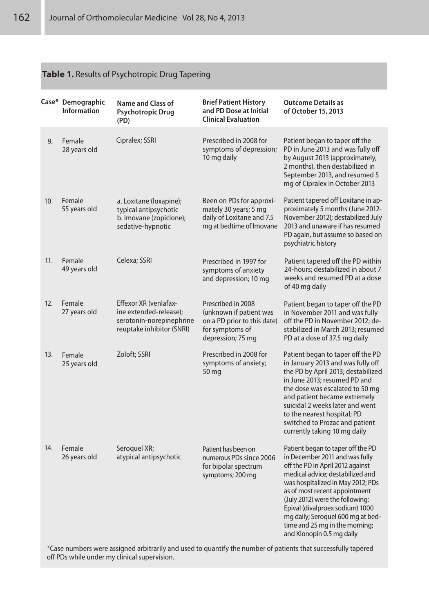## **Table 1.** Results of Psychotropic Drug Tapering

|     | Case* Demographic<br><b>Information</b> | <b>Name and Class of</b><br><b>Psychotropic Drug</b><br>(PD)                                             | <b>Brief Patient History</b><br>and PD Dose at Initial<br><b>Clinical Evaluation</b>                                 | <b>Outcome Details as</b><br>of October 15, 2013                                                                                                                                                                                                                                                                                                                                                                                                                                                       |
|-----|-----------------------------------------|----------------------------------------------------------------------------------------------------------|----------------------------------------------------------------------------------------------------------------------|--------------------------------------------------------------------------------------------------------------------------------------------------------------------------------------------------------------------------------------------------------------------------------------------------------------------------------------------------------------------------------------------------------------------------------------------------------------------------------------------------------|
| 9.  | Female<br>28 years old                  | Cipralex; SSRI                                                                                           | Prescribed in 2008 for<br>symptoms of depression;<br>10 mg daily                                                     | Patient began to taper off the<br>PD in June 2013 and was fully off<br>by August 2013 (approximately,<br>2 months), then destabilized in<br>September 2013, and resumed 5<br>mg of Cipralex in October 2013                                                                                                                                                                                                                                                                                            |
| 10. | Female<br>55 years old                  | a. Loxitane (loxapine);<br>typical antipsychotic<br>b. Imovane (zopiclone);<br>sedative-hypnotic         | Been on PDs for approxi-<br>mately 30 years; 5 mg<br>daily of Loxitane and 7.5<br>mg at bedtime of Imovane           | Patient tapered off Loxitane in ap-<br>proximately 5 months (June 2012-<br>November 2012); destabilized July<br>2013 and unaware if has resumed<br>PD again, but assume so based on<br>psychiatric history                                                                                                                                                                                                                                                                                             |
| 11. | Female<br>49 years old                  | Celexa; SSRI                                                                                             | Prescribed in 1997 for<br>symptoms of anxiety<br>and depression; 10 mg                                               | Patient tapered off the PD within<br>24-hours: destabilized in about 7<br>weeks and resumed PD at a dose<br>of 40 mg daily                                                                                                                                                                                                                                                                                                                                                                             |
| 12. | Female<br>27 years old                  | Effexor XR (venlafax-<br>ine extended-release);<br>serotonin-norepinephrine<br>reuptake inhibitor (SNRI) | Prescribed in 2008<br>(unknown if patient was<br>on a PD prior to this date)<br>for symptoms of<br>depression; 75 mg | Patient began to taper off the PD<br>in November 2011 and was fully<br>off the PD in November 2012: de-<br>stabilized in March 2013; resumed<br>PD at a dose of 37.5 mg daily                                                                                                                                                                                                                                                                                                                          |
| 13. | Female<br>25 years old                  | Zoloft; SSRI                                                                                             | Prescribed in 2008 for<br>symptoms of anxiety;<br>50 mg                                                              | Patient began to taper off the PD<br>in January 2013 and was fully off<br>the PD by April 2013; destabilized<br>in June 2013; resumed PD and<br>the dose was escalated to 50 mg<br>and patient became extremely<br>suicidal 2 weeks later and went<br>to the nearest hospital; PD<br>switched to Prozac and patient<br>currently taking 10 mg daily                                                                                                                                                    |
| 14. | Female<br>26 years old                  | Seroquel XR;<br>atypical antipsychotic                                                                   | Patient has been on<br>numerous PDs since 2006<br>for bipolar spectrum<br>symptoms; 200 mg                           | Patient began to taper off the PD<br>in December 2011 and was fully<br>off the PD in April 2012 against<br>medical advice; destabilized and<br>was hospitalized in May 2012; PDs<br>as of most recent appointment<br>(July 2012) were the following:<br>Epival (divalproex sodium) 1000<br>mg daily; Seroquel 600 mg at bed-<br>time and 25 mg in the morning;<br>and Klonopin 0.5 mg daily<br>numbers were assigned arbitrarily and used to quantify the number of patients that suscessfully tanoged |

\*Case numbers were assigned arbitrarily and used to quantify the number of patients that successfully tapered off PDs while under my clinical supervision.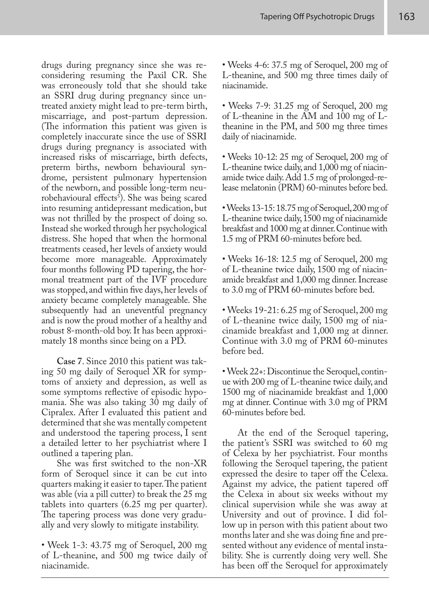drugs during pregnancy since she was reconsidering resuming the Paxil CR. She was erroneously told that she should take an SSRI drug during pregnancy since untreated anxiety might lead to pre-term birth, miscarriage, and post-partum depression. (The information this patient was given is completely inaccurate since the use of SSRI drugs during pregnancy is associated with increased risks of miscarriage, birth defects, preterm births, newborn behavioural syndrome, persistent pulmonary hypertension of the newborn, and possible long-term neurobehavioural effects<sup>5</sup>). She was being scared into resuming antidepressant medication, but was not thrilled by the prospect of doing so. Instead she worked through her psychological distress. She hoped that when the hormonal treatments ceased, her levels of anxiety would become more manageable. Approximately four months following PD tapering, the hormonal treatment part of the IVF procedure was stopped, and within five days, her levels of anxiety became completely manageable. She subsequently had an uneventful pregnancy and is now the proud mother of a healthy and robust 8-month-old boy. It has been approximately 18 months since being on a PD.

**Case 7**. Since 2010 this patient was taking 50 mg daily of Seroquel XR for symptoms of anxiety and depression, as well as some symptoms reflective of episodic hypomania. She was also taking 30 mg daily of Cipralex. After I evaluated this patient and determined that she was mentally competent and understood the tapering process, I sent a detailed letter to her psychiatrist where I outlined a tapering plan.

She was first switched to the non-XR form of Seroquel since it can be cut into quarters making it easier to taper. The patient was able (via a pill cutter) to break the 25 mg tablets into quarters (6.25 mg per quarter). The tapering process was done very gradually and very slowly to mitigate instability.

• Week 1-3: 43.75 mg of Seroquel, 200 mg of L-theanine, and 500 mg twice daily of niacinamide.

• Weeks 4-6: 37.5 mg of Seroquel, 200 mg of L-theanine, and 500 mg three times daily of niacinamide.

• Weeks 7-9: 31.25 mg of Seroquel, 200 mg of L-theanine in the AM and 100 mg of Ltheanine in the PM, and 500 mg three times daily of niacinamide.

• Weeks 10-12: 25 mg of Seroquel, 200 mg of L-theanine twice daily, and 1,000 mg of niacinamide twice daily. Add 1.5 mg of prolonged-release melatonin (PRM) 60-minutes before bed.

• Weeks 13-15: 18.75 mg of Seroquel, 200 mg of L-theanine twice daily, 1500 mg of niacinamide breakfast and 1000 mg at dinner. Continue with 1.5 mg of PRM 60-minutes before bed.

• Weeks 16-18: 12.5 mg of Seroquel, 200 mg of L-theanine twice daily, 1500 mg of niacinamide breakfast and 1,000 mg dinner. Increase to 3.0 mg of PRM 60-minutes before bed.

• Weeks 19-21: 6.25 mg of Seroquel, 200 mg of L-theanine twice daily, 1500 mg of niacinamide breakfast and 1,000 mg at dinner. Continue with 3.0 mg of PRM 60-minutes before bed.

• Week 22+: Discontinue the Seroquel, continue with 200 mg of L-theanine twice daily, and 1500 mg of niacinamide breakfast and 1,000 mg at dinner. Continue with 3.0 mg of PRM 60-minutes before bed.

At the end of the Seroquel tapering, the patient's SSRI was switched to 60 mg of Celexa by her psychiatrist. Four months following the Seroquel tapering, the patient expressed the desire to taper off the Celexa. Against my advice, the patient tapered off the Celexa in about six weeks without my clinical supervision while she was away at University and out of province. I did follow up in person with this patient about two months later and she was doing fine and presented without any evidence of mental instability. She is currently doing very well. She has been off the Seroquel for approximately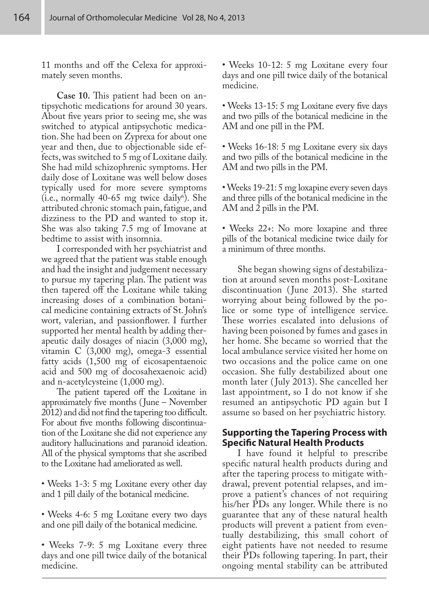11 months and off the Celexa for approximately seven months.

**Case 10.** This patient had been on antipsychotic medications for around 30 years. About five years prior to seeing me, she was switched to atypical antipsychotic medication. She had been on Zyprexa for about one year and then, due to objectionable side effects, was switched to 5 mg of Loxitane daily. She had mild schizophrenic symptoms. Her daily dose of Loxitane was well below doses typically used for more severe symptoms  $(i.e., normally 40-65 mg twice daily<sup>6</sup>). She$ attributed chronic stomach pain, fatigue, and dizziness to the PD and wanted to stop it. She was also taking 7.5 mg of Imovane at bedtime to assist with insomnia.

I corresponded with her psychiatrist and we agreed that the patient was stable enough and had the insight and judgement necessary to pursue my tapering plan. The patient was then tapered off the Loxitane while taking increasing doses of a combination botanical medicine containing extracts of St. John's wort, valerian, and passionflower. I further supported her mental health by adding therapeutic daily dosages of niacin (3,000 mg), vitamin C (3,000 mg), omega-3 essential fatty acids (1,500 mg of eicosapentaenoic acid and 500 mg of docosahexaenoic acid) and n-acetylcysteine (1,000 mg).

The patient tapered off the Loxitane in approximately five months (June – November 2012) and did not find the tapering too difficult. For about five months following discontinuation of the Loxitane she did not experience any auditory hallucinations and paranoid ideation. All of the physical symptoms that she ascribed to the Loxitane had ameliorated as well.

• Weeks 1-3: 5 mg Loxitane every other day and 1 pill daily of the botanical medicine.

- Weeks 4-6: 5 mg Loxitane every two days and one pill daily of the botanical medicine.
- Weeks 7-9: 5 mg Loxitane every three days and one pill twice daily of the botanical medicine.

• Weeks 10-12: 5 mg Loxitane every four days and one pill twice daily of the botanical medicine.

• Weeks 13-15: 5 mg Loxitane every five days and two pills of the botanical medicine in the AM and one pill in the PM.

• Weeks 16-18: 5 mg Loxitane every six days and two pills of the botanical medicine in the AM and two pills in the PM.

• Weeks 19-21: 5 mg loxapine every seven days and three pills of the botanical medicine in the AM and 2 pills in the PM.

• Weeks 22+: No more loxapine and three pills of the botanical medicine twice daily for a minimum of three months.

She began showing signs of destabilization at around seven months post-Loxitane discontinuation ( June 2013). She started worrying about being followed by the police or some type of intelligence service. These worries escalated into delusions of having been poisoned by fumes and gases in her home. She became so worried that the local ambulance service visited her home on two occasions and the police came on one occasion. She fully destabilized about one month later ( July 2013). She cancelled her last appointment, so I do not know if she resumed an antipsychotic PD again but I assume so based on her psychiatric history.

#### **Supporting the Tapering Process with Specific Natural Health Products**

I have found it helpful to prescribe specific natural health products during and after the tapering process to mitigate withdrawal, prevent potential relapses, and improve a patient's chances of not requiring his/her PDs any longer. While there is no guarantee that any of these natural health products will prevent a patient from eventually destabilizing, this small cohort of eight patients have not needed to resume their PDs following tapering. In part, their ongoing mental stability can be attributed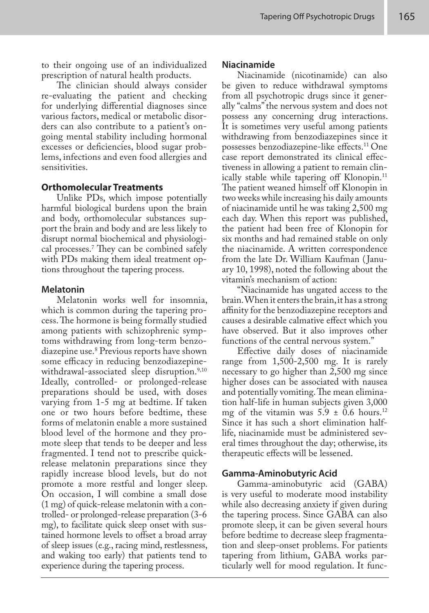to their ongoing use of an individualized prescription of natural health products.

The clinician should always consider re-evaluating the patient and checking for underlying differential diagnoses since various factors, medical or metabolic disorders can also contribute to a patient's ongoing mental stability including hormonal excesses or deficiencies, blood sugar problems, infections and even food allergies and sensitivities.

#### **Orthomolecular Treatments**

Unlike PDs, which impose potentially harmful biological burdens upon the brain and body, orthomolecular substances support the brain and body and are less likely to disrupt normal biochemical and physiological processes.<sup>7</sup> They can be combined safely with PDs making them ideal treatment options throughout the tapering process.

#### **Melatonin**

Melatonin works well for insomnia, which is common during the tapering process. The hormone is being formally studied among patients with schizophrenic symptoms withdrawing from long-term benzodiazepine use.<sup>8</sup> Previous reports have shown some efficacy in reducing benzodiazepinewithdrawal-associated sleep disruption.<sup>9,10</sup> Ideally, controlled- or prolonged-release preparations should be used, with doses varying from 1-5 mg at bedtime. If taken one or two hours before bedtime, these forms of melatonin enable a more sustained blood level of the hormone and they promote sleep that tends to be deeper and less fragmented. I tend not to prescribe quickrelease melatonin preparations since they rapidly increase blood levels, but do not promote a more restful and longer sleep. On occasion, I will combine a small dose (1 mg) of quick-release melatonin with a controlled- or prolonged-release preparation (3-6 mg), to facilitate quick sleep onset with sustained hormone levels to offset a broad array of sleep issues (e.g., racing mind, restlessness, and waking too early) that patients tend to experience during the tapering process.

#### **Niacinamide**

Niacinamide (nicotinamide) can also be given to reduce withdrawal symptoms from all psychotropic drugs since it generally "calms" the nervous system and does not possess any concerning drug interactions. It is sometimes very useful among patients withdrawing from benzodiazepines since it possesses benzodiazepine-like effects.11 One case report demonstrated its clinical effectiveness in allowing a patient to remain clinically stable while tapering off Klonopin.<sup>11</sup> The patient weaned himself off Klonopin in two weeks while increasing his daily amounts of niacinamide until he was taking 2,500 mg each day. When this report was published, the patient had been free of Klonopin for six months and had remained stable on only the niacinamide. A written correspondence from the late Dr. William Kaufman ( January 10, 1998), noted the following about the vitamin's mechanism of action:

"Niacinamide has ungated access to the brain. When it enters the brain, it has a strong affinity for the benzodiazepine receptors and causes a desirable calmative effect which you have observed. But it also improves other functions of the central nervous system."

Effective daily doses of niacinamide range from 1,500-2,500 mg. It is rarely necessary to go higher than 2,500 mg since higher doses can be associated with nausea and potentially vomiting. The mean elimination half-life in human subjects given 3,000 mg of the vitamin was  $5.9 \pm 0.6$  hours.<sup>12</sup> Since it has such a short elimination halflife, niacinamide must be administered several times throughout the day; otherwise, its therapeutic effects will be lessened.

#### **Gamma-Aminobutyric Acid**

Gamma-aminobutyric acid (GABA) is very useful to moderate mood instability while also decreasing anxiety if given during the tapering process. Since GABA can also promote sleep, it can be given several hours before bedtime to decrease sleep fragmentation and sleep-onset problems. For patients tapering from lithium, GABA works particularly well for mood regulation. It func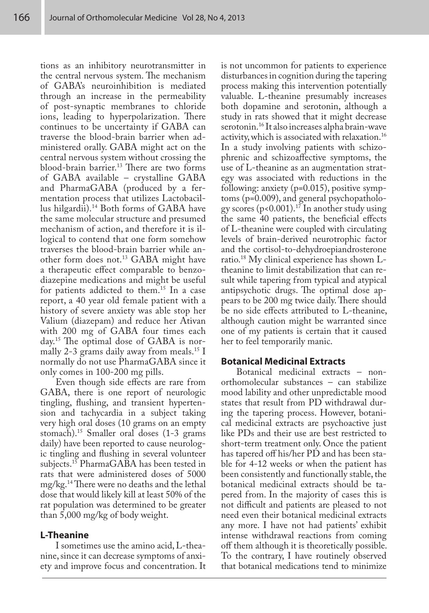tions as an inhibitory neurotransmitter in the central nervous system. The mechanism of GABA's neuroinhibition is mediated through an increase in the permeability of post-synaptic membranes to chloride ions, leading to hyperpolarization. There continues to be uncertainty if GABA can traverse the blood-brain barrier when administered orally. GABA might act on the central nervous system without crossing the blood-brain barrier.<sup>13</sup> There are two forms of GABA available – crystalline GABA and PharmaGABA (produced by a fermentation process that utilizes Lactobacillus hilgardii).14 Both forms of GABA have the same molecular structure and presumed mechanism of action, and therefore it is illogical to contend that one form somehow traverses the blood-brain barrier while another form does not.13 GABA might have a therapeutic effect comparable to benzodiazepine medications and might be useful for patients addicted to them.15 In a case report, a 40 year old female patient with a history of severe anxiety was able stop her Valium (diazepam) and reduce her Ativan with 200 mg of GABA four times each day.15 The optimal dose of GABA is normally 2-3 grams daily away from meals.<sup>15</sup> I normally do not use PharmaGABA since it only comes in 100-200 mg pills.

Even though side effects are rare from GABA, there is one report of neurologic tingling, flushing, and transient hypertension and tachycardia in a subject taking very high oral doses (10 grams on an empty stomach).15 Smaller oral doses (1-3 grams daily) have been reported to cause neurologic tingling and flushing in several volunteer subjects.<sup>15</sup> PharmaGABA has been tested in rats that were administered doses of 5000 mg/kg.14 There were no deaths and the lethal dose that would likely kill at least 50% of the rat population was determined to be greater than 5,000 mg/kg of body weight.

### **L-Theanine**

I sometimes use the amino acid, L-theanine, since it can decrease symptoms of anxiety and improve focus and concentration. It

is not uncommon for patients to experience disturbances in cognition during the tapering process making this intervention potentially valuable. L-theanine presumably increases both dopamine and serotonin, although a study in rats showed that it might decrease serotonin.16 It also increases alpha brain-wave activity, which is associated with relaxation.16 In a study involving patients with schizophrenic and schizoaffective symptoms, the use of L-theanine as an augmentation strategy was associated with reductions in the following: anxiety (p=0.015), positive symptoms (p=0.009), and general psychopathology scores (p<0.001).<sup>17</sup> In another study using the same 40 patients, the beneficial effects of L-theanine were coupled with circulating levels of brain-derived neurotrophic factor and the cortisol-to-dehydroepiandrosterone ratio.18 My clinical experience has shown Ltheanine to limit destabilization that can result while tapering from typical and atypical antipsychotic drugs. The optimal dose appears to be 200 mg twice daily. There should be no side effects attributed to L-theanine, although caution might be warranted since one of my patients is certain that it caused her to feel temporarily manic.

### **Botanical Medicinal Extracts**

Botanical medicinal extracts – nonorthomolecular substances – can stabilize mood lability and other unpredictable mood states that result from PD withdrawal during the tapering process. However, botanical medicinal extracts are psychoactive just like PDs and their use are best restricted to short-term treatment only. Once the patient has tapered off his/her PD and has been stable for 4-12 weeks or when the patient has been consistently and functionally stable, the botanical medicinal extracts should be tapered from. In the majority of cases this is not difficult and patients are pleased to not need even their botanical medicinal extracts any more. I have not had patients' exhibit intense withdrawal reactions from coming off them although it is theoretically possible. To the contrary, I have routinely observed that botanical medications tend to minimize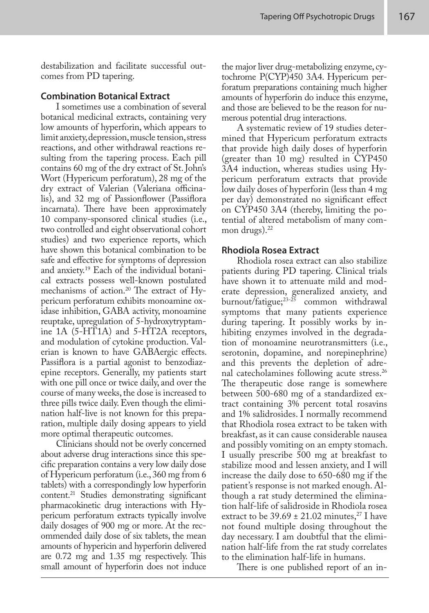destabilization and facilitate successful outcomes from PD tapering.

#### **Combination Botanical Extract**

I sometimes use a combination of several botanical medicinal extracts, containing very low amounts of hyperforin, which appears to limit anxiety, depression, muscle tension, stress reactions, and other withdrawal reactions resulting from the tapering process. Each pill contains 60 mg of the dry extract of St. John's Wort (Hypericum perforatum), 28 mg of the dry extract of Valerian (Valeriana officinalis), and 32 mg of Passionflower (Passiflora incarnata). There have been approximately 10 company-sponsored clinical studies (i.e., two controlled and eight observational cohort studies) and two experience reports, which have shown this botanical combination to be safe and effective for symptoms of depression and anxiety.19 Each of the individual botanical extracts possess well-known postulated mechanisms of action.<sup>20</sup> The extract of Hypericum perforatum exhibits monoamine oxidase inhibition, GABA activity, monoamine reuptake, upregulation of 5-hydroxytryptamine 1A (5-HT1A) and 5-HT2A receptors, and modulation of cytokine production. Valerian is known to have GABAergic effects. Passiflora is a partial agonist to benzodiazepine receptors. Generally, my patients start with one pill once or twice daily, and over the course of many weeks, the dose is increased to three pills twice daily. Even though the elimination half-live is not known for this preparation, multiple daily dosing appears to yield more optimal therapeutic outcomes.

Clinicians should not be overly concerned about adverse drug interactions since this specific preparation contains a very low daily dose of Hypericum perforatum (i.e., 360 mg from 6 tablets) with a correspondingly low hyperforin content.21 Studies demonstrating significant pharmacokinetic drug interactions with Hypericum perforatum extracts typically involve daily dosages of 900 mg or more. At the recommended daily dose of six tablets, the mean amounts of hypericin and hyperforin delivered are 0.72 mg and 1.35 mg respectively. This small amount of hyperforin does not induce

the major liver drug-metabolizing enzyme, cytochrome P(CYP)450 3A4. Hypericum perforatum preparations containing much higher amounts of hyperforin do induce this enzyme, and those are believed to be the reason for numerous potential drug interactions.

A systematic review of 19 studies determined that Hypericum perforatum extracts that provide high daily doses of hyperforin (greater than 10 mg) resulted in CYP450 3A4 induction, whereas studies using Hypericum perforatum extracts that provide low daily doses of hyperforin (less than 4 mg per day) demonstrated no significant effect on CYP450 3A4 (thereby, limiting the potential of altered metabolism of many common drugs). $22$ 

#### **Rhodiola Rosea Extract**

Rhodiola rosea extract can also stabilize patients during PD tapering. Clinical trials have shown it to attenuate mild and moderate depression, generalized anxiety, and burnout/fatigue;23-25 common withdrawal symptoms that many patients experience during tapering. It possibly works by inhibiting enzymes involved in the degradation of monoamine neurotransmitters (i.e., serotonin, dopamine, and norepinephrine) and this prevents the depletion of adrenal catecholamines following acute stress.<sup>26</sup> The therapeutic dose range is somewhere between 500-680 mg of a standardized extract containing 3% percent total rosavins and 1% salidrosides. I normally recommend that Rhodiola rosea extract to be taken with breakfast, as it can cause considerable nausea and possibly vomiting on an empty stomach. I usually prescribe 500 mg at breakfast to stabilize mood and lessen anxiety, and I will increase the daily dose to 650-680 mg if the patient's response is not marked enough. Although a rat study determined the elimination half-life of salidroside in Rhodiola rosea extract to be  $39.69 \pm 21.02$  minutes,<sup>27</sup> I have not found multiple dosing throughout the day necessary. I am doubtful that the elimination half-life from the rat study correlates to the elimination half-life in humans.

There is one published report of an in-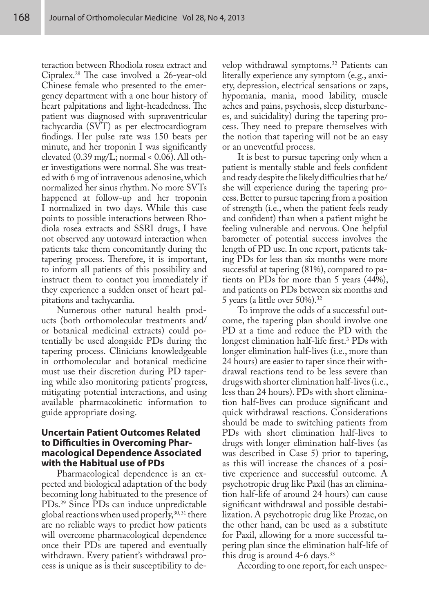teraction between Rhodiola rosea extract and Cipralex.<sup>28</sup> The case involved a 26-year-old Chinese female who presented to the emergency department with a one hour history of heart palpitations and light-headedness. The patient was diagnosed with supraventricular tachycardia (SVT) as per electrocardiogram findings. Her pulse rate was 150 beats per minute, and her troponin I was significantly elevated (0.39 mg/L; normal < 0.06). All other investigations were normal. She was treated with 6 mg of intravenous adenosine, which normalized her sinus rhythm. No more SVTs happened at follow-up and her troponin I normalized in two days. While this case points to possible interactions between Rhodiola rosea extracts and SSRI drugs, I have not observed any untoward interaction when patients take them concomitantly during the tapering process. Therefore, it is important, to inform all patients of this possibility and instruct them to contact you immediately if they experience a sudden onset of heart palpitations and tachycardia.

Numerous other natural health products (both orthomolecular treatments and/ or botanical medicinal extracts) could potentially be used alongside PDs during the tapering process. Clinicians knowledgeable in orthomolecular and botanical medicine must use their discretion during PD tapering while also monitoring patients' progress, mitigating potential interactions, and using available pharmacokinetic information to guide appropriate dosing.

#### **Uncertain Patient Outcomes Related to Difficulties in Overcoming Pharmacological Dependence Associated with the Habitual use of PDs**

Pharmacological dependence is an expected and biological adaptation of the body becoming long habituated to the presence of PDs.<sup>29</sup> Since PDs can induce unpredictable global reactions when used properly,  $30,31$  there are no reliable ways to predict how patients will overcome pharmacological dependence once their PDs are tapered and eventually withdrawn. Every patient's withdrawal process is unique as is their susceptibility to develop withdrawal symptoms.32 Patients can literally experience any symptom (e.g., anxiety, depression, electrical sensations or zaps, hypomania, mania, mood lability, muscle aches and pains, psychosis, sleep disturbances, and suicidality) during the tapering process. They need to prepare themselves with the notion that tapering will not be an easy or an uneventful process.

It is best to pursue tapering only when a patient is mentally stable and feels confident and ready despite the likely difficulties that he/ she will experience during the tapering process. Better to pursue tapering from a position of strength (i.e., when the patient feels ready and confident) than when a patient might be feeling vulnerable and nervous. One helpful barometer of potential success involves the length of PD use. In one report, patients taking PDs for less than six months were more successful at tapering (81%), compared to patients on PDs for more than 5 years (44%), and patients on PDs between six months and 5 years (a little over  $50\%$ ).<sup>32</sup>

To improve the odds of a successful outcome, the tapering plan should involve one PD at a time and reduce the PD with the longest elimination half-life first.3 PDs with longer elimination half-lives (i.e., more than 24 hours) are easier to taper since their withdrawal reactions tend to be less severe than drugs with shorter elimination half-lives (i.e., less than 24 hours). PDs with short elimination half-lives can produce significant and quick withdrawal reactions. Considerations should be made to switching patients from PDs with short elimination half-lives to drugs with longer elimination half-lives (as was described in Case 5) prior to tapering, as this will increase the chances of a positive experience and successful outcome. A psychotropic drug like Paxil (has an elimination half-life of around 24 hours) can cause significant withdrawal and possible destabilization. A psychotropic drug like Prozac, on the other hand, can be used as a substitute for Paxil, allowing for a more successful tapering plan since the elimination half-life of this drug is around  $4-6$  days.<sup>33</sup>

According to one report, for each unspec-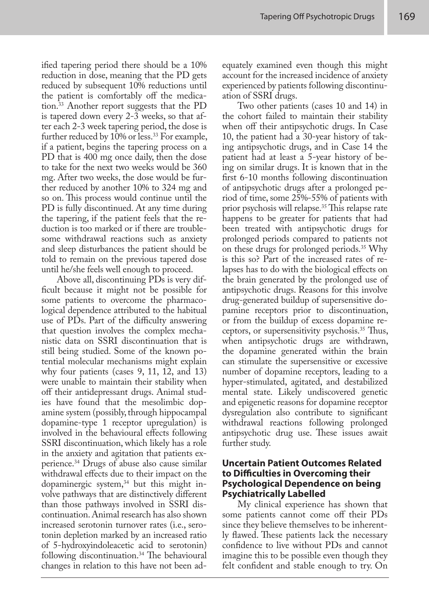ified tapering period there should be a 10% reduction in dose, meaning that the PD gets reduced by subsequent 10% reductions until the patient is comfortably off the medication.33 Another report suggests that the PD is tapered down every 2-3 weeks, so that after each 2-3 week tapering period, the dose is further reduced by 10% or less.<sup>33</sup> For example, if a patient, begins the tapering process on a PD that is 400 mg once daily, then the dose to take for the next two weeks would be 360 mg. After two weeks, the dose would be further reduced by another 10% to 324 mg and so on. This process would continue until the PD is fully discontinued. At any time during the tapering, if the patient feels that the reduction is too marked or if there are troublesome withdrawal reactions such as anxiety and sleep disturbances the patient should be told to remain on the previous tapered dose until he/she feels well enough to proceed.

Above all, discontinuing PDs is very difficult because it might not be possible for some patients to overcome the pharmacological dependence attributed to the habitual use of PDs. Part of the difficulty answering that question involves the complex mechanistic data on SSRI discontinuation that is still being studied. Some of the known potential molecular mechanisms might explain why four patients (cases 9, 11, 12, and 13) were unable to maintain their stability when off their antidepressant drugs. Animal studies have found that the mesolimbic dopamine system (possibly, through hippocampal dopamine-type 1 receptor upregulation) is involved in the behavioural effects following SSRI discontinuation, which likely has a role in the anxiety and agitation that patients experience.34 Drugs of abuse also cause similar withdrawal effects due to their impact on the dopaminergic system, $34$  but this might involve pathways that are distinctively different than those pathways involved in SSRI discontinuation. Animal research has also shown increased serotonin turnover rates (i.e., serotonin depletion marked by an increased ratio of 5-hydroxyindoleacetic acid to serotonin) following discontinuation.<sup>34</sup> The behavioural changes in relation to this have not been adequately examined even though this might account for the increased incidence of anxiety experienced by patients following discontinuation of SSRI drugs.

Two other patients (cases 10 and 14) in the cohort failed to maintain their stability when off their antipsychotic drugs. In Case 10, the patient had a 30-year history of taking antipsychotic drugs, and in Case 14 the patient had at least a 5-year history of being on similar drugs. It is known that in the first 6-10 months following discontinuation of antipsychotic drugs after a prolonged period of time, some 25%-55% of patients with prior psychosis will relapse.35 This relapse rate happens to be greater for patients that had been treated with antipsychotic drugs for prolonged periods compared to patients not on these drugs for prolonged periods.35 Why is this so? Part of the increased rates of relapses has to do with the biological effects on the brain generated by the prolonged use of antipsychotic drugs. Reasons for this involve drug-generated buildup of supersensitive dopamine receptors prior to discontinuation, or from the buildup of excess dopamine receptors, or supersensitivity psychosis.35 Thus, when antipsychotic drugs are withdrawn, the dopamine generated within the brain can stimulate the supersensitive or excessive number of dopamine receptors, leading to a hyper-stimulated, agitated, and destabilized mental state. Likely undiscovered genetic and epigenetic reasons for dopamine receptor dysregulation also contribute to significant withdrawal reactions following prolonged antipsychotic drug use. These issues await further study.

### **Uncertain Patient Outcomes Related to Difficulties in Overcoming their Psychological Dependence on being Psychiatrically Labelled**

My clinical experience has shown that some patients cannot come off their PDs since they believe themselves to be inherently flawed. These patients lack the necessary confidence to live without PDs and cannot imagine this to be possible even though they felt confident and stable enough to try. On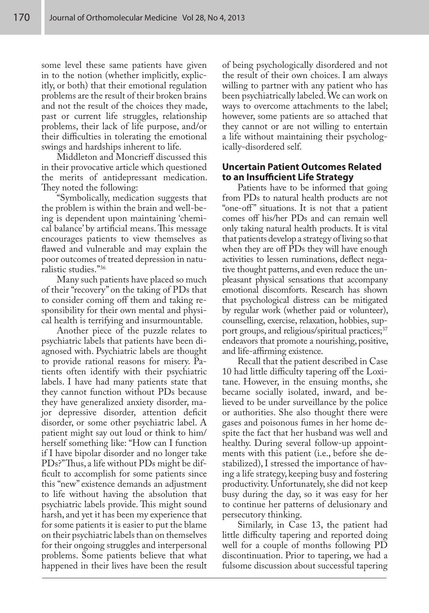some level these same patients have given in to the notion (whether implicitly, explicitly, or both) that their emotional regulation problems are the result of their broken brains and not the result of the choices they made, past or current life struggles, relationship problems, their lack of life purpose, and/or their difficulties in tolerating the emotional swings and hardships inherent to life.

Middleton and Moncrieff discussed this in their provocative article which questioned the merits of antidepressant medication. They noted the following:

"Symbolically, medication suggests that the problem is within the brain and well-being is dependent upon maintaining 'chemical balance' by artificial means. This message encourages patients to view themselves as flawed and vulnerable and may explain the poor outcomes of treated depression in naturalistic studies."36

Many such patients have placed so much of their "recovery" on the taking of PDs that to consider coming off them and taking responsibility for their own mental and physical health is terrifying and insurmountable.

Another piece of the puzzle relates to psychiatric labels that patients have been diagnosed with. Psychiatric labels are thought to provide rational reasons for misery. Patients often identify with their psychiatric labels. I have had many patients state that they cannot function without PDs because they have generalized anxiety disorder, major depressive disorder, attention deficit disorder, or some other psychiatric label. A patient might say out loud or think to him/ herself something like: "How can I function if I have bipolar disorder and no longer take PDs?" Thus, a life without PDs might be difficult to accomplish for some patients since this "new" existence demands an adjustment to life without having the absolution that psychiatric labels provide. This might sound harsh, and yet it has been my experience that for some patients it is easier to put the blame on their psychiatric labels than on themselves for their ongoing struggles and interpersonal problems. Some patients believe that what happened in their lives have been the result

of being psychologically disordered and not the result of their own choices. I am always willing to partner with any patient who has been psychiatrically labeled. We can work on ways to overcome attachments to the label; however, some patients are so attached that they cannot or are not willing to entertain a life without maintaining their psychologically-disordered self.

#### **Uncertain Patient Outcomes Related to an Insufficient Life Strategy**

Patients have to be informed that going from PDs to natural health products are not "one-off" situations. It is not that a patient comes off his/her PDs and can remain well only taking natural health products. It is vital that patients develop a strategy of living so that when they are off PDs they will have enough activities to lessen ruminations, deflect negative thought patterns, and even reduce the unpleasant physical sensations that accompany emotional discomforts. Research has shown that psychological distress can be mitigated by regular work (whether paid or volunteer), counselling, exercise, relaxation, hobbies, support groups, and religious/spiritual practices;<sup>37</sup> endeavors that promote a nourishing, positive, and life-affirming existence.

Recall that the patient described in Case 10 had little difficulty tapering off the Loxitane. However, in the ensuing months, she became socially isolated, inward, and believed to be under surveillance by the police or authorities. She also thought there were gases and poisonous fumes in her home despite the fact that her husband was well and healthy. During several follow-up appointments with this patient (i.e., before she destabilized), I stressed the importance of having a life strategy, keeping busy and fostering productivity. Unfortunately, she did not keep busy during the day, so it was easy for her to continue her patterns of delusionary and persecutory thinking.

Similarly, in Case 13, the patient had little difficulty tapering and reported doing well for a couple of months following PD discontinuation. Prior to tapering, we had a fulsome discussion about successful tapering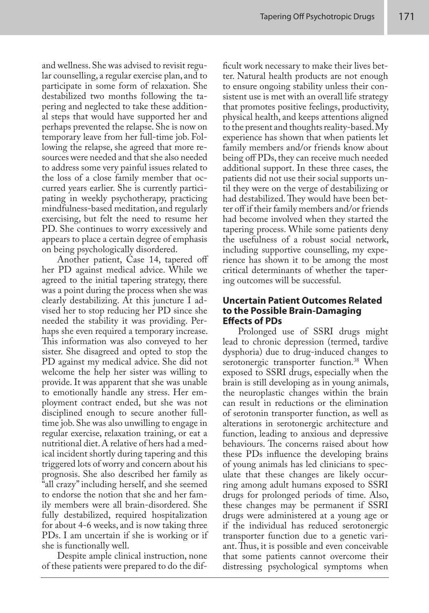and wellness. She was advised to revisit regular counselling, a regular exercise plan, and to participate in some form of relaxation. She destabilized two months following the tapering and neglected to take these additional steps that would have supported her and perhaps prevented the relapse. She is now on temporary leave from her full-time job. Following the relapse, she agreed that more resources were needed and that she also needed to address some very painful issues related to the loss of a close family member that occurred years earlier. She is currently participating in weekly psychotherapy, practicing mindfulness-based meditation, and regularly exercising, but felt the need to resume her PD. She continues to worry excessively and appears to place a certain degree of emphasis on being psychologically disordered.

Another patient, Case 14, tapered off her PD against medical advice. While we agreed to the initial tapering strategy, there was a point during the process when she was clearly destabilizing. At this juncture I advised her to stop reducing her PD since she needed the stability it was providing. Perhaps she even required a temporary increase. This information was also conveyed to her sister. She disagreed and opted to stop the PD against my medical advice. She did not welcome the help her sister was willing to provide. It was apparent that she was unable to emotionally handle any stress. Her employment contract ended, but she was not disciplined enough to secure another fulltime job. She was also unwilling to engage in regular exercise, relaxation training, or eat a nutritional diet. A relative of hers had a medical incident shortly during tapering and this triggered lots of worry and concern about his prognosis. She also described her family as "all crazy" including herself, and she seemed to endorse the notion that she and her family members were all brain-disordered. She fully destabilized, required hospitalization for about 4-6 weeks, and is now taking three PDs. I am uncertain if she is working or if she is functionally well.

Despite ample clinical instruction, none of these patients were prepared to do the difficult work necessary to make their lives better. Natural health products are not enough to ensure ongoing stability unless their consistent use is met with an overall life strategy that promotes positive feelings, productivity, physical health, and keeps attentions aligned to the present and thoughts reality-based. My experience has shown that when patients let family members and/or friends know about being off PDs, they can receive much needed additional support. In these three cases, the patients did not use their social supports until they were on the verge of destabilizing or had destabilized. They would have been better off if their family members and/or friends had become involved when they started the tapering process. While some patients deny the usefulness of a robust social network, including supportive counselling, my experience has shown it to be among the most critical determinants of whether the tapering outcomes will be successful.

#### **Uncertain Patient Outcomes Related to the Possible Brain-Damaging Effects of PDs**

Prolonged use of SSRI drugs might lead to chronic depression (termed, tardive dysphoria) due to drug-induced changes to serotonergic transporter function.<sup>38</sup> When exposed to SSRI drugs, especially when the brain is still developing as in young animals, the neuroplastic changes within the brain can result in reductions or the elimination of serotonin transporter function, as well as alterations in serotonergic architecture and function, leading to anxious and depressive behaviours. The concerns raised about how these PDs influence the developing brains of young animals has led clinicians to speculate that these changes are likely occurring among adult humans exposed to SSRI drugs for prolonged periods of time. Also, these changes may be permanent if SSRI drugs were administered at a young age or if the individual has reduced serotonergic transporter function due to a genetic variant. Thus, it is possible and even conceivable that some patients cannot overcome their distressing psychological symptoms when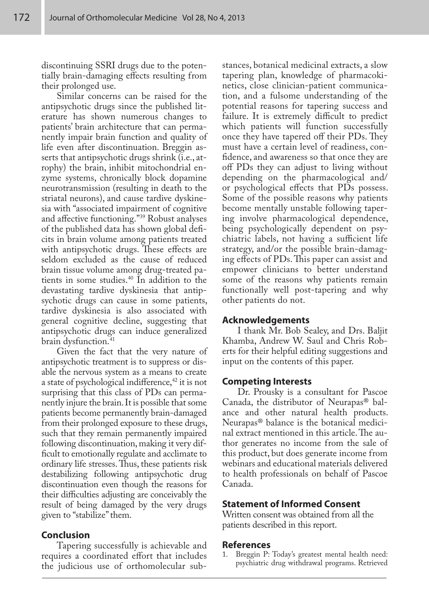discontinuing SSRI drugs due to the potentially brain-damaging effects resulting from their prolonged use.

Similar concerns can be raised for the antipsychotic drugs since the published literature has shown numerous changes to patients' brain architecture that can permanently impair brain function and quality of life even after discontinuation. Breggin asserts that antipsychotic drugs shrink (i.e., atrophy) the brain, inhibit mitochondrial enzyme systems, chronically block dopamine neurotransmission (resulting in death to the striatal neurons), and cause tardive dyskinesia with "associated impairment of cognitive and affective functioning."<sup>39</sup> Robust analyses of the published data has shown global deficits in brain volume among patients treated with antipsychotic drugs. These effects are seldom excluded as the cause of reduced brain tissue volume among drug-treated patients in some studies.40 In addition to the devastating tardive dyskinesia that antipsychotic drugs can cause in some patients, tardive dyskinesia is also associated with general cognitive decline, suggesting that antipsychotic drugs can induce generalized brain dysfunction.<sup>41</sup>

Given the fact that the very nature of antipsychotic treatment is to suppress or disable the nervous system as a means to create a state of psychological indifference,<sup>42</sup> it is not surprising that this class of PDs can permanently injure the brain. It is possible that some patients become permanently brain-damaged from their prolonged exposure to these drugs, such that they remain permanently impaired following discontinuation, making it very difficult to emotionally regulate and acclimate to ordinary life stresses. Thus, these patients risk destabilizing following antipsychotic drug discontinuation even though the reasons for their difficulties adjusting are conceivably the result of being damaged by the very drugs given to "stabilize" them.

### **Conclusion**

Tapering successfully is achievable and requires a coordinated effort that includes the judicious use of orthomolecular substances, botanical medicinal extracts, a slow tapering plan, knowledge of pharmacokinetics, close clinician-patient communication, and a fulsome understanding of the potential reasons for tapering success and failure. It is extremely difficult to predict which patients will function successfully once they have tapered off their PDs. They must have a certain level of readiness, confidence, and awareness so that once they are off PDs they can adjust to living without depending on the pharmacological and/ or psychological effects that PDs possess. Some of the possible reasons why patients become mentally unstable following tapering involve pharmacological dependence, being psychologically dependent on psychiatric labels, not having a sufficient life strategy, and/or the possible brain-damaging effects of PDs. This paper can assist and empower clinicians to better understand some of the reasons why patients remain functionally well post-tapering and why other patients do not.

#### **Acknowledgements**

I thank Mr. Bob Sealey, and Drs. Baljit Khamba, Andrew W. Saul and Chris Roberts for their helpful editing suggestions and input on the contents of this paper.

#### **Competing Interests**

Dr. Prousky is a consultant for Pascoe Canada, the distributor of Neurapas® balance and other natural health products. Neurapas® balance is the botanical medicinal extract mentioned in this article. The author generates no income from the sale of this product, but does generate income from webinars and educational materials delivered to health professionals on behalf of Pascoe Canada.

#### **Statement of Informed Consent**

Written consent was obtained from all the patients described in this report.

#### **References**

Breggin P: Today's greatest mental health need: psychiatric drug withdrawal programs. Retrieved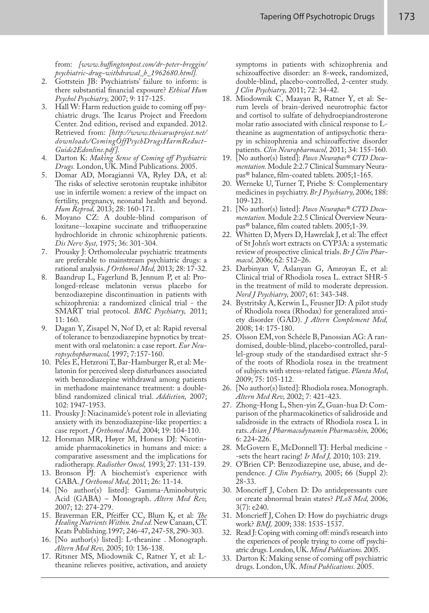from: *[www.huffingtonpost.com/dr-peter-breggin/ psychiatric-drug-withdrawal\_b\_1962680.html].*

- 2. Gottstein JB: Psychiatrists' failure to inform: is there substantial financial exposure? *Ethical Hum Psychol Psychiatry,* 2007; 9: 117-125.
- 3. Hall W: Harm reduction guide to coming off psychiatric drugs. The Icarus Project and Freedom Center. 2nd edition, revised and expanded. 2012. Retrieved from: *[http://www.theicarusproject.net/ downloads/ComingOffPsychDrugsHarmReduct-Guide2Edonline.pdf ].*
- 4. Darton K: *Making Sense of Coming off Psychiatric Drugs.* London, UK. Mind Publications. 2005.
- 5. Domar AD, Moragianni VA, Ryley DA, et al: The risks of selective serotonin reuptake inhibitor use in infertile women: a review of the impact on fertility, pregnancy, neonatal health and beyond. *Hum Reprod,* 2013; 28: 160-171.
- 6. Moyano CZ: A double-blind comparison of loxitane--loxapine succinate and trifluoperazine hydrochloride in chronic schizophrenic patients. *Dis Nerv Syst,* 1975; 36: 301-304.
- 7. Prousky J: Orthomolecular psychiatric treatments are preferable to mainstream psychiatric drugs: a rational analysis. *J Orthomol Med,* 2013; 28: 17-32.
- 8. Baandrup L, Fagerlund B, Jennum P, et al: Prolonged-release melatonin versus placebo for benzodiazepine discontinuation in patients with schizophrenia: a randomized clinical trial - the SMART trial protocol. *BMC Psychiatry,* 2011; 11: 160.
- 9. Dagan Y, Zisapel N, Nof D, et al: Rapid reversal of tolerance to benzodiazepine hypnotics by treatment with oral melatonin: a case report. *Eur Neuropsychopharmacol,* 1997; 7:157-160.
- 10. Peles E, Hetzroni T, Bar-Hamburger R, et al: Melatonin for perceived sleep disturbances associated with benzodiazepine withdrawal among patients in methadone maintenance treatment: a doubleblind randomized clinical trial. *Addiction,* 2007; 102: 1947-1953.
- 11. Prousky J: Niacinamide's potent role in alleviating anxiety with its benzodiazepine-like properties: a case report. *J Orthomol Med,* 2004; 19: 104-110.
- 12. Horsman MR, Høyer M, Honess DJ: Nicotinamide pharmacokinetics in humans and mice: a comparative assessment and the implications for radiotherapy. *Radiother Oncol,* 1993; 27: 131-139.
- 13. Bronson PJ: A biochemist's experience with GABA. *J Orthomol Med,* 2011; 26: 11-14.
- 14. [No author(s) listed]: Gamma-Aminobutyric Acid (GABA) – Monograph. *Altern Med Rev,*  2007; 12: 274-279.
- 15. Braverman ER, Pfeiffer CC, Blum K, et al: *The Healing Nutrients Within. 2nd ed.* New Canaan, CT. Keats Publishing.1997; 246-47, 247-58, 290-303.
- 16. [No author(s) listed]: L-theanine . Monograph. *Altern Med Rev,* 2005; 10: 136-138.
- 17. Ritsner MS, Miodownik C, Ratner Y, et al: Ltheanine relieves positive, activation, and anxiety

symptoms in patients with schizophrenia and schizoaffective disorder: an 8-week, randomized, double-blind, placebo-controlled, 2-center study. *J Clin Psychiatry,* 2011; 72: 34-42.

- 18. Miodownik C, Maayan R, Ratner Y, et al: Serum levels of brain-derived neurotrophic factor and cortisol to sulfate of dehydroepiandrosterone molar ratio associated with clinical response to Ltheanine as augmentation of antipsychotic therapy in schizophrenia and schizoaffective disorder patients. *Clin Neuropharmacol,* 2011; 34: 155-160.
- 19. [No author(s) listed]: *Pasco Neurapas® CTD Documentation.* Module 2:2.7 Clinical Summary Neurapas® balance, film-coated tablets. 2005;1-165.
- 20. Werneke U, Turner T, Priebe S: Complementary medicines in psychiatry. *Br J Psychiatry,* 2006; 188: 109-121.
- 21. [No author(s) listed]: *Pasco Neurapas® CTD Documentation.* Module 2:2.5 Clinical Overview Neurapas® balance, film coated tablets. 2005;1-39.
- 22. Whitten D, Myers D, Hawrelak J, et al: The effect of St John's wort extracts on CYP3A: a systematic review of prospective clinical trials. *Br J Clin Pharmacol,* 2006; 62: 512–26.
- 23. Darbinyan V, Aslanyan G, Amroyan E, et al: Clinical trial of Rhodiola rosea L. extract SHR-5 in the treatment of mild to moderate depression. *Nord J Psychiatry,* 2007; 61: 343-348.
- 24. Bystritsky A, Kerwin L, Feusner JD: A pilot study of Rhodiola rosea (Rhodax) for generalized anxiety disorder (GAD). *J Altern Complement Med,* 2008; 14: 175-180.
- 25. Olsson EM, von Schéele B, Panossian AG: A randomised, double-blind, placebo-controlled, parallel-group study of the standardised extract shr-5 of the roots of Rhodiola rosea in the treatment of subjects with stress-related fatigue. *Planta Med*, 2009; 75: 105-112.
- 26. [No author(s) listed]: Rhodiola rosea. Monograph. *Altern Med Rev,* 2002; 7: 421-423.
- 27. Zhong-Hong L, Shen-yin Z, Guan-hua D: Comparison of the pharmacokinetics of salidroside and salidroside in the extracts of Rhodiola rosea L in rats. *Asian J Pharmacodynamin Pharmacokin,* 2006; 6: 224-226.
- 28. McGovern E, McDonnell TJ: Herbal medicine -sets the heart racing! *Ir Med J,* 2010; 103: 219.
- 29. O'Brien CP: Benzodiazepine use, abuse, and dependence. *J Clin Psychiatry,* 2005; 66 (Suppl 2): 28-33.
- 30. Moncrieff J, Cohen D: Do antidepressants cure or create abnormal brain states? *PLoS Med,* 2006; 3(7): e240.
- 31. Moncrieff J, Cohen D: How do psychiatric drugs work? *BMJ,* 2009; 338: 1535-1537.
- 32. Read J: Coping with coming off: mind's research into the experiences of people trying to come off psychiatric drugs. London, UK. *Mind Publications.* 2005.
- 33. Darton K: Making sense of coming off psychiatric drugs. London, UK. *Mind Publications.* 2005.